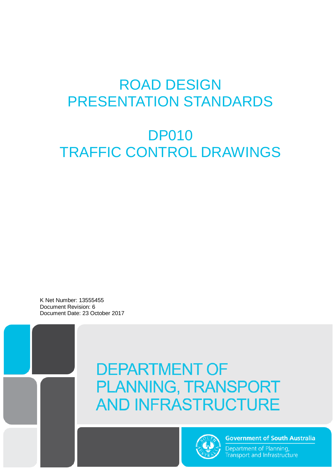# ROAD DESIGN PRESENTATION STANDARDS

# DP010 TRAFFIC CONTROL DRAWINGS

K Net Number: 13555455 Document Revision: 6 Document Date: 23 October 2017





**Government of South Australia** 

Department of Planning, Transport and Infrastructure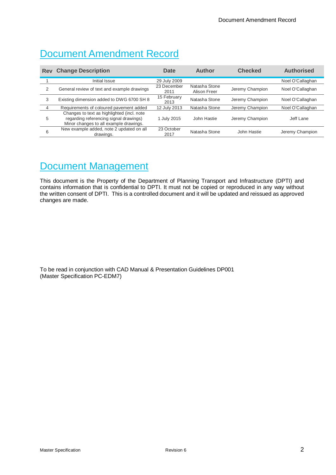### Document Amendment Record

| <b>Rev</b>     | <b>Change Description</b>                                                                                                      | Date                | <b>Author</b>                 | <b>Checked</b>  | <b>Authorised</b> |
|----------------|--------------------------------------------------------------------------------------------------------------------------------|---------------------|-------------------------------|-----------------|-------------------|
|                | Initial Issue                                                                                                                  | 29 July 2009        |                               |                 | Noel O'Callaghan  |
| 2              | General review of text and example drawings                                                                                    | 23 December<br>2011 | Natasha Stone<br>Alison Freer | Jeremy Champion | Noel O'Callaghan  |
| 3              | Existing dimension added to DWG 6700 SH 8                                                                                      | 15 February<br>2013 | Natasha Stone                 | Jeremy Champion | Noel O'Callaghan  |
| $\overline{4}$ | Requirements of coloured pavement added                                                                                        | 12 July 2013        | Natasha Stone                 | Jeremy Champion | Noel O'Callaghan  |
| 5              | Changes to text as highlighted (incl. note<br>regarding referencing signal drawings)<br>Minor changes to all example drawings. | 1 July 2015         | John Hastie                   | Jeremy Champion | Jeff Lane         |
| 6              | New example added, note 2 updated on all<br>drawings.                                                                          | 23 October<br>2017  | Natasha Stone                 | John Hastie     | Jeremy Champion   |

### Document Management

This document is the Property of the Department of Planning Transport and Infrastructure (DPTI) and contains information that is confidential to DPTI. It must not be copied or reproduced in any way without the written consent of DPTI. This is a controlled document and it will be updated and reissued as approved changes are made.

To be read in conjunction with CAD Manual & Presentation Guidelines DP001 (Master Specification PC-EDM7)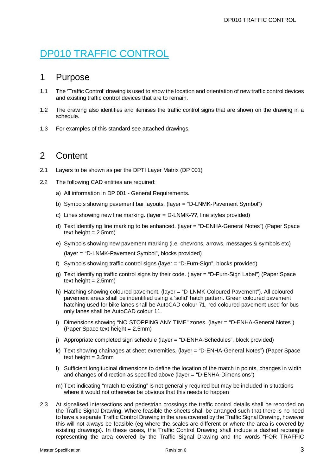## DP010 TRAFFIC CONTROL

### 1 Purpose

- 1.1 The 'Traffic Control' drawing is used to show the location and orientation of new traffic control devices and existing traffic control devices that are to remain.
- 1.2 The drawing also identifies and itemises the traffic control signs that are shown on the drawing in a schedule.
- 1.3 For examples of this standard see attached drawings.

### 2 Content

- 2.1 Layers to be shown as per the DPTI Layer Matrix (DP 001)
- 2.2 The following CAD entities are required:
	- a) All information in DP 001 General Requirements.
	- b) Symbols showing pavement bar layouts. (layer = "D-LNMK-Pavement Symbol")
	- c) Lines showing new line marking. (layer = D-LNMK-??, line styles provided)
	- d) Text identifying line marking to be enhanced. (layer = "D-ENHA-General Notes") (Paper Space text height  $= 2.5$ mm)
	- e) Symbols showing new pavement marking (i.e. chevrons, arrows, messages & symbols etc) (layer = "D-LNMK-Pavement Symbol", blocks provided)
	- f) Symbols showing traffic control signs (layer = "D-Furn-Sign", blocks provided)
	- g) Text identifying traffic control signs by their code. (layer = "D-Furn-Sign Label") (Paper Space text height  $= 2.5$ mm)
	- h) Hatching showing coloured pavement. (layer = "D-LNMK-Coloured Pavement"). All coloured pavement areas shall be indentified using a 'solid' hatch pattern. Green coloured pavement hatching used for bike lanes shall be AutoCAD colour 71, red coloured pavement used for bus only lanes shall be AutoCAD colour 11.
	- i) Dimensions showing "NO STOPPING ANY TIME" zones. (layer = "D-ENHA-General Notes") (Paper Space text height = 2.5mm)
	- j) Appropriate completed sign schedule (layer = "D-ENHA-Schedules", block provided)
	- k) Text showing chainages at sheet extremities. (layer = "D-ENHA-General Notes") (Paper Space text height  $= 3.5$ mm
	- l) Sufficient longitudinal dimensions to define the location of the match in points, changes in width and changes of direction as specified above (layer = "D-ENHA-Dimensions")
	- m) Text indicating "match to existing" is not generally required but may be included in situations where it would not otherwise be obvious that this needs to happen
- 2.3 At signalised intersections and pedestrian crossings the traffic control details shall be recorded on the Traffic Signal Drawing. Where feasible the sheets shall be arranged such that there is no need to have a separate Traffic Control Drawing in the area covered by the Traffic Signal Drawing, however this will not always be feasible (eg where the scales are different or where the area is covered by existing drawings). In these cases, the Traffic Control Drawing shall include a dashed rectangle representing the area covered by the Traffic Signal Drawing and the words "FOR TRAFFIC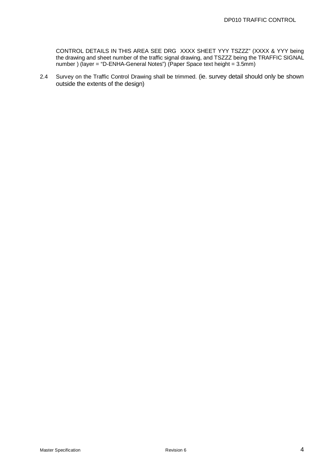CONTROL DETAILS IN THIS AREA SEE DRG XXXX SHEET YYY TSZZZ" (XXXX & YYY being the drawing and sheet number of the traffic signal drawing, and TSZZZ being the TRAFFIC SIGNAL number ) (layer = "D-ENHA-General Notes") (Paper Space text height = 3.5mm)

2.4 Survey on the Traffic Control Drawing shall be trimmed. (ie. survey detail should only be shown outside the extents of the design)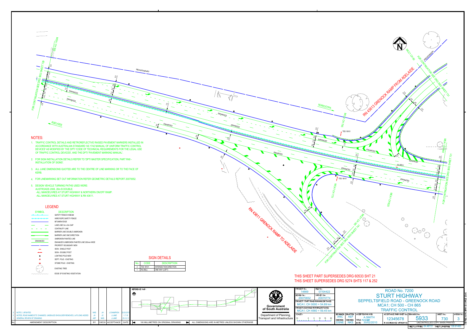$\frac{FOR \text{ CONTINUATION} \text{SEE of } \mathcal{P}}{2s \left( \frac{1}{2s + \frac{1}{2s + \frac{1}{2s + \frac{1}{2s + \frac{1}{2s + \frac{1}{2s + \frac{1}{2s + \frac{1}{2s + \frac{1}{2s + \frac{1}{2s + \frac{1}{2s + \frac{1}{2s + \frac{1}{2s + \frac{1}{2s + \frac{1}{2s + \frac{1}{2s + \frac{1}{2s + \frac{1}{2s + \frac{1}{2s + \frac{1}{2s + \frac{1}{2s + \frac{1}{2s + \frac{1}{2s + \frac{1}{$ 

- 
- 
- 
- 
- 

ADELAIDE

 $\frac{1}{25}$ 

**MCA HO TANA** 

 $\sum_{s,s}$  $3.5 / 5.$  $\frac{1}{2}$  $3.5 / 3.7$  $3.5 - 3.5$  $\frac{1}{3.5}$  $3.5 - 3.5$ 2.5 T

ENHANCED

7.0 M

ENHANCED

NEW BOUNDARY

2.0

TES 18101

MCA 10565

4.5

ENHANCED

3.5

1.0

2.0

3.5 |  $3.5^{6}$   $2.5^{6}$  $3.5 \t2.7$ 4.5 M

ENHANCED



| טווח ווייטוט |                  |                               |  |
|--------------|------------------|-------------------------------|--|
|              | CODE             | <b>DESCRIPTION</b>            |  |
|              | <b>TES 18101</b> | <b>INTERSECTION DIRECTION</b> |  |
|              | R2-2B(L)         | ONE WAY (LEFT)                |  |





ENHANCED

| <b>NOTES:</b><br>1. TRAFFIC CONTROL DETAILS AND RETROREFLECTIVE RAISED PAVEMENT MARKERS INSTALLED IN<br>ACCORDANCE WITH AUSTRALIAN STANDARD 'AS 1742 MANUAL OF UNIFORM TRAFFIC CONTROL<br>DEVICES' AS MODIFIED BY THE DPTI 'CODE OF TECHNICAL REQUIREMENTS FOR THE LEGAL USE<br>OF TRAFFIC CONTROL DEVICES', AND THE DPTI 'PAVEMENT MARKING MANUAL'. |                                                 | ENHANCED                          | <b>TES 18101</b><br>ENHANCED<br>$\ddot{x}$<br>ENHANCED<br>$\mathsf{P}$                       |
|------------------------------------------------------------------------------------------------------------------------------------------------------------------------------------------------------------------------------------------------------------------------------------------------------------------------------------------------------|-------------------------------------------------|-----------------------------------|----------------------------------------------------------------------------------------------|
| 2. FOR SIGN INSTALLATION DETAILS REFER TO 'DPTI MASTER SPECIFICATION, PART R49 -<br><b>INSTALLATION OF SIGNS'.</b>                                                                                                                                                                                                                                   |                                                 |                                   |                                                                                              |
| 3. ALL LANE DIMENSIONS QUOTED ARE TO THE CENTRE OF LINE MARKING OR TO THE FACE OF<br><b>KERB.</b>                                                                                                                                                                                                                                                    |                                                 |                                   | ENHANCED<br>∽                                                                                |
| 4. FOR LINEMARKING SET OUT INFORMATION REFER GEOMETRIC DETAILS REPORT 20070652.                                                                                                                                                                                                                                                                      |                                                 |                                   | <b>TES 18101</b>                                                                             |
| 5. DESIGN VEHICLE TURNING PATHS USED WERE:<br>AUSTROADS 2006, 26m B DOUBLE.<br>-ALL MANOEUVRES AT STURT HIGHWAY & NORTHERN ON/OFF RAMP.<br>-ALL MANOEUVRES AT STURT HIGHWAY & RN 43611.                                                                                                                                                              |                                                 |                                   | $\tilde{c}$<br><b>MCAT CH 770</b>                                                            |
| <b>LEGEND</b>                                                                                                                                                                                                                                                                                                                                        |                                                 |                                   |                                                                                              |
| <b>SYMBOL</b><br><b>DESCRIPTION</b><br>SAFETY FENCE W BEAM<br>WIRE ROPE SAFETY FENCE<br><b>BITUMEN EDGE</b><br>LANE LINE 3m x 9m GAP                                                                                                                                                                                                                 |                                                 | RN 43611 CRENOCK RAMP TO ADELAIDE |                                                                                              |
| <b>CONTINUITY LINE</b><br>BARRIER LINE DOUBLE UNBROKEN<br>BARRIER LINE ONE DIRECTION                                                                                                                                                                                                                                                                 |                                                 |                                   |                                                                                              |
| UNBROKEN PAINTED LINE<br>ENHANCED<br>ENHANCED UNBROKEN PAINTED LINE 200mm WIDE                                                                                                                                                                                                                                                                       |                                                 |                                   | <b>SEE ORL</b>                                                                               |
| PROPERTY BOUNDARY NEW<br>SIGN - SINGLE POST                                                                                                                                                                                                                                                                                                          |                                                 |                                   |                                                                                              |
| SIGN - DOUBLE POST<br>LIGHTING POLE NEW                                                                                                                                                                                                                                                                                                              |                                                 |                                   | TIMUATION                                                                                    |
| DEPT. POLE - EXISTING                                                                                                                                                                                                                                                                                                                                | <b>SIGN DETAILS</b>                             |                                   | FOR COT                                                                                      |
| STOBIE POLE - EXISTING<br>No.                                                                                                                                                                                                                                                                                                                        | CODE<br><b>DESCRIPTION</b>                      |                                   |                                                                                              |
| 2 TES 18101<br><b>EXISTING TREE</b><br>$1$ R2-2B(L)                                                                                                                                                                                                                                                                                                  | <b>INTERSECTION DIRECTION</b><br>ONE WAY (LEFT) |                                   |                                                                                              |
| EDGE OF EXISTING VEGETATION<br>$\sim$ $\sim$ $\sim$                                                                                                                                                                                                                                                                                                  |                                                 |                                   |                                                                                              |
|                                                                                                                                                                                                                                                                                                                                                      |                                                 |                                   | THIS SHEET PART SUPERSEDES DRG 60533 SHT 21<br>THIS SHEET SUPERSEDES DRG 5274 SHTS 117 & 252 |
| REFERENCE MAP:<br>$\bigcirc$                                                                                                                                                                                                                                                                                                                         |                                                 | <b>PARA</b>                       | PROJECT No.:<br>FILE No.:<br>14669<br>07/04422<br>DECIGN No.<br>CHIDVEY No.                  |

## THIS SHEET PART SUPERSEDES DRG 60533 SHT 21

NURIOOTPA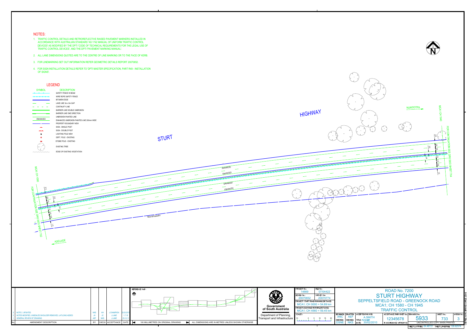- 
- 
- 
- 



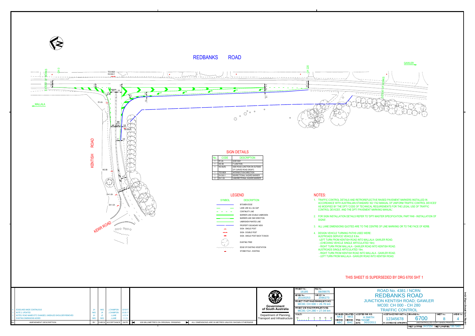

REDBANKS ROAD



- 
- 
- 
- 
- 

| <b>ROAD No. 4381 / NCRN</b><br><b>REDBANKS ROAD</b><br><b>JUNCTION KENTISH ROAD; GAWLER</b><br>MC00: CH 000 - CH 280<br><b>TRAFFIC CONTROL</b> |                                                                                                            |                                         |          |                                                     |  | DP010 EXAMPLE 3.DWG |  |
|------------------------------------------------------------------------------------------------------------------------------------------------|------------------------------------------------------------------------------------------------------------|-----------------------------------------|----------|-----------------------------------------------------|--|---------------------|--|
| SIGNED:                                                                                                                                        | ACCEPTANCE FORM KNET No.: DRAWING No.:<br>SHFFT No.:<br>AMFND No.:<br>DRAFTED:<br>ACCEPTED FOR USE:        |                                         |          |                                                     |  |                     |  |
| <b>NKS</b><br><b>IECKED:</b>                                                                                                                   | <b>NKS</b><br>CHECKED:                                                                                     | <b>A.SMITH</b><br><b>TITLE: MANAGER</b> | 12345678 | 6700                                                |  | NAME:               |  |
| ABC.                                                                                                                                           | CAD FILE<br><b>BAC</b><br>30/2/2011<br>DATE:<br>IN ACCORDANCE WITH DP013<br>UNCONTROLLED COPY WHEN PRINTED |                                         |          |                                                     |  |                     |  |
|                                                                                                                                                |                                                                                                            |                                         |          | SHEET LATITUDE - 34.57254 SHEET LONGITUDE 138.73481 |  |                     |  |